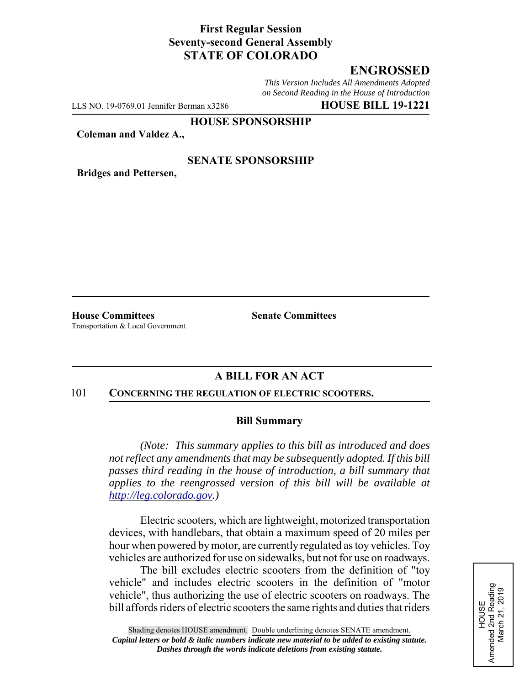## **First Regular Session Seventy-second General Assembly STATE OF COLORADO**

# **ENGROSSED**

*This Version Includes All Amendments Adopted on Second Reading in the House of Introduction*

LLS NO. 19-0769.01 Jennifer Berman x3286 **HOUSE BILL 19-1221**

**HOUSE SPONSORSHIP**

**Coleman and Valdez A.,**

### **SENATE SPONSORSHIP**

**Bridges and Pettersen,**

**House Committees Senate Committees** Transportation & Local Government

# **A BILL FOR AN ACT**

#### 101 **CONCERNING THE REGULATION OF ELECTRIC SCOOTERS.**

#### **Bill Summary**

*(Note: This summary applies to this bill as introduced and does not reflect any amendments that may be subsequently adopted. If this bill passes third reading in the house of introduction, a bill summary that applies to the reengrossed version of this bill will be available at http://leg.colorado.gov.)*

Electric scooters, which are lightweight, motorized transportation devices, with handlebars, that obtain a maximum speed of 20 miles per hour when powered by motor, are currently regulated as toy vehicles. Toy vehicles are authorized for use on sidewalks, but not for use on roadways.

The bill excludes electric scooters from the definition of "toy vehicle" and includes electric scooters in the definition of "motor vehicle", thus authorizing the use of electric scooters on roadways. The bill affords riders of electric scooters the same rights and duties that riders

Amended 2nd Reading<br>March 21, 2019 Amended 2nd Reading March 21, 2019 HOUSE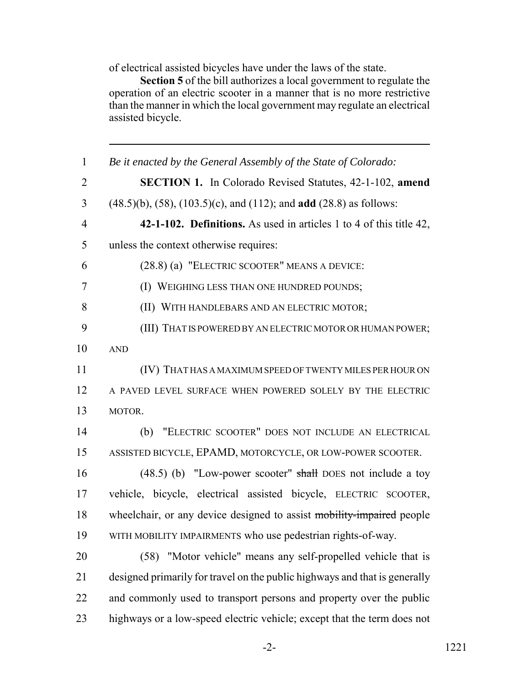of electrical assisted bicycles have under the laws of the state.

**Section 5** of the bill authorizes a local government to regulate the operation of an electric scooter in a manner that is no more restrictive than the manner in which the local government may regulate an electrical assisted bicycle.

 *Be it enacted by the General Assembly of the State of Colorado:* **SECTION 1.** In Colorado Revised Statutes, 42-1-102, **amend** (48.5)(b), (58), (103.5)(c), and (112); and **add** (28.8) as follows: **42-1-102. Definitions.** As used in articles 1 to 4 of this title 42, unless the context otherwise requires: (28.8) (a) "ELECTRIC SCOOTER" MEANS A DEVICE: (I) WEIGHING LESS THAN ONE HUNDRED POUNDS; (II) WITH HANDLEBARS AND AN ELECTRIC MOTOR; (III) THAT IS POWERED BY AN ELECTRIC MOTOR OR HUMAN POWER; AND (IV) THAT HAS A MAXIMUM SPEED OF TWENTY MILES PER HOUR ON A PAVED LEVEL SURFACE WHEN POWERED SOLELY BY THE ELECTRIC MOTOR. (b) "ELECTRIC SCOOTER" DOES NOT INCLUDE AN ELECTRICAL ASSISTED BICYCLE, EPAMD, MOTORCYCLE, OR LOW-POWER SCOOTER. 16 (48.5) (b) "Low-power scooter" shall DOES not include a toy vehicle, bicycle, electrical assisted bicycle, ELECTRIC SCOOTER, 18 wheelchair, or any device designed to assist mobility-impaired people WITH MOBILITY IMPAIRMENTS who use pedestrian rights-of-way. (58) "Motor vehicle" means any self-propelled vehicle that is designed primarily for travel on the public highways and that is generally 22 and commonly used to transport persons and property over the public highways or a low-speed electric vehicle; except that the term does not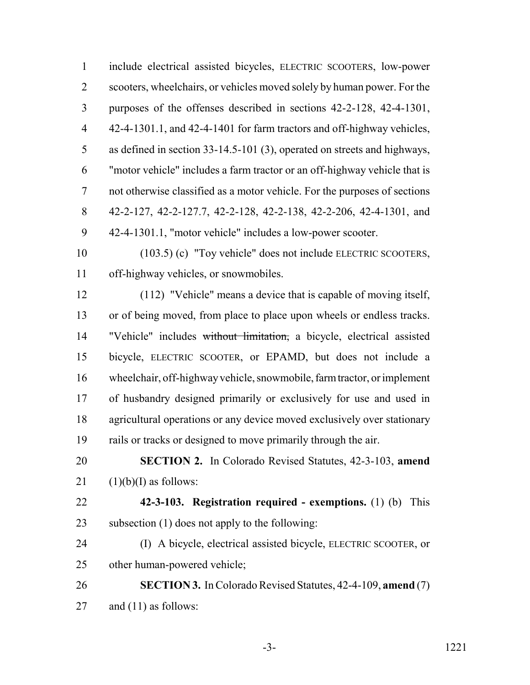include electrical assisted bicycles, ELECTRIC SCOOTERS, low-power scooters, wheelchairs, or vehicles moved solely by human power. For the purposes of the offenses described in sections 42-2-128, 42-4-1301, 42-4-1301.1, and 42-4-1401 for farm tractors and off-highway vehicles, as defined in section 33-14.5-101 (3), operated on streets and highways, "motor vehicle" includes a farm tractor or an off-highway vehicle that is not otherwise classified as a motor vehicle. For the purposes of sections 42-2-127, 42-2-127.7, 42-2-128, 42-2-138, 42-2-206, 42-4-1301, and 42-4-1301.1, "motor vehicle" includes a low-power scooter.

 (103.5) (c) "Toy vehicle" does not include ELECTRIC SCOOTERS, off-highway vehicles, or snowmobiles.

 (112) "Vehicle" means a device that is capable of moving itself, or of being moved, from place to place upon wheels or endless tracks. "Vehicle" includes without limitation, a bicycle, electrical assisted bicycle, ELECTRIC SCOOTER, or EPAMD, but does not include a wheelchair, off-highway vehicle, snowmobile, farm tractor, or implement of husbandry designed primarily or exclusively for use and used in agricultural operations or any device moved exclusively over stationary rails or tracks or designed to move primarily through the air.

 **SECTION 2.** In Colorado Revised Statutes, 42-3-103, **amend** 21  $(1)(b)(I)$  as follows:

 **42-3-103. Registration required - exemptions.** (1) (b) This subsection (1) does not apply to the following:

 (I) A bicycle, electrical assisted bicycle, ELECTRIC SCOOTER, or other human-powered vehicle;

 **SECTION 3.** In Colorado Revised Statutes, 42-4-109, **amend** (7) and (11) as follows: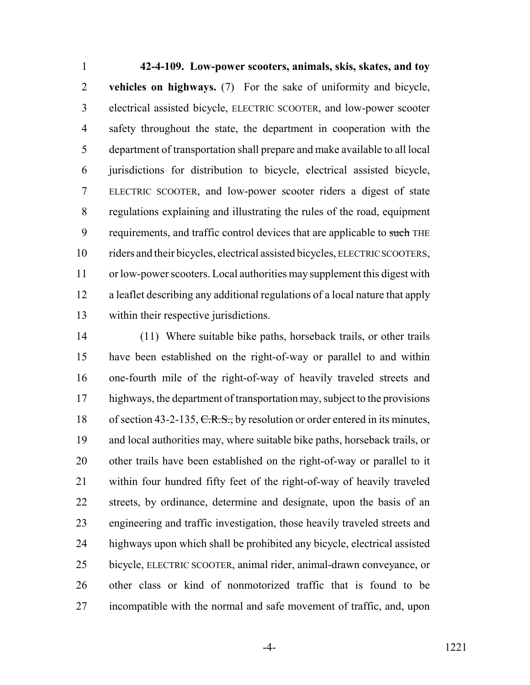**42-4-109. Low-power scooters, animals, skis, skates, and toy vehicles on highways.** (7) For the sake of uniformity and bicycle, electrical assisted bicycle, ELECTRIC SCOOTER, and low-power scooter safety throughout the state, the department in cooperation with the department of transportation shall prepare and make available to all local jurisdictions for distribution to bicycle, electrical assisted bicycle, ELECTRIC SCOOTER, and low-power scooter riders a digest of state regulations explaining and illustrating the rules of the road, equipment 9 requirements, and traffic control devices that are applicable to such THE riders and their bicycles, electrical assisted bicycles, ELECTRIC SCOOTERS, or low-power scooters. Local authorities may supplement this digest with a leaflet describing any additional regulations of a local nature that apply within their respective jurisdictions.

 (11) Where suitable bike paths, horseback trails, or other trails have been established on the right-of-way or parallel to and within one-fourth mile of the right-of-way of heavily traveled streets and highways, the department of transportation may, subject to the provisions 18 of section 43-2-135, C.R.S., by resolution or order entered in its minutes, and local authorities may, where suitable bike paths, horseback trails, or other trails have been established on the right-of-way or parallel to it within four hundred fifty feet of the right-of-way of heavily traveled streets, by ordinance, determine and designate, upon the basis of an engineering and traffic investigation, those heavily traveled streets and highways upon which shall be prohibited any bicycle, electrical assisted bicycle, ELECTRIC SCOOTER, animal rider, animal-drawn conveyance, or other class or kind of nonmotorized traffic that is found to be incompatible with the normal and safe movement of traffic, and, upon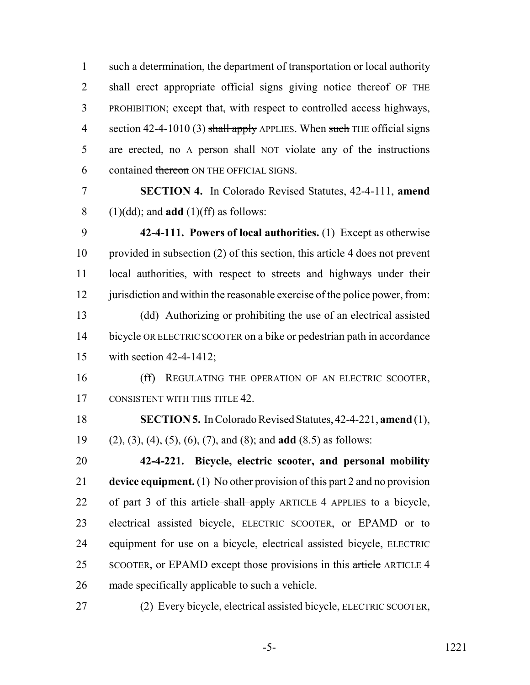such a determination, the department of transportation or local authority 2 shall erect appropriate official signs giving notice thereof OF THE PROHIBITION; except that, with respect to controlled access highways, 4 section 42-4-1010 (3) shall apply APPLIES. When such THE official signs 5 are erected, no A person shall NOT violate any of the instructions 6 contained thereon ON THE OFFICIAL SIGNS.

 **SECTION 4.** In Colorado Revised Statutes, 42-4-111, **amend** (1)(dd); and **add** (1)(ff) as follows:

 **42-4-111. Powers of local authorities.** (1) Except as otherwise provided in subsection (2) of this section, this article 4 does not prevent local authorities, with respect to streets and highways under their 12 jurisdiction and within the reasonable exercise of the police power, from: (dd) Authorizing or prohibiting the use of an electrical assisted bicycle OR ELECTRIC SCOOTER on a bike or pedestrian path in accordance

 (ff) REGULATING THE OPERATION OF AN ELECTRIC SCOOTER, 17 CONSISTENT WITH THIS TITLE 42.

 **SECTION 5.** In Colorado Revised Statutes, 42-4-221, **amend** (1), (2), (3), (4), (5), (6), (7), and (8); and **add** (8.5) as follows:

 **42-4-221. Bicycle, electric scooter, and personal mobility device equipment.** (1) No other provision of this part 2 and no provision 22 of part 3 of this article shall apply ARTICLE 4 APPLIES to a bicycle, electrical assisted bicycle, ELECTRIC SCOOTER, or EPAMD or to equipment for use on a bicycle, electrical assisted bicycle, ELECTRIC 25 SCOOTER, or EPAMD except those provisions in this article ARTICLE 4 made specifically applicable to such a vehicle.

(2) Every bicycle, electrical assisted bicycle, ELECTRIC SCOOTER,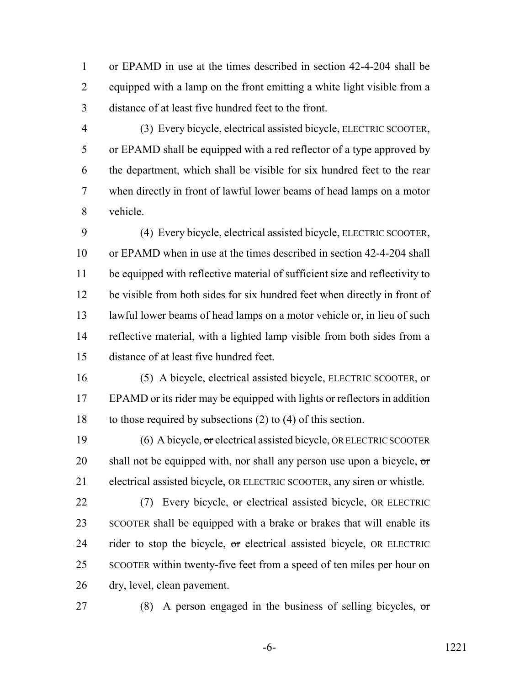or EPAMD in use at the times described in section 42-4-204 shall be equipped with a lamp on the front emitting a white light visible from a distance of at least five hundred feet to the front.

 (3) Every bicycle, electrical assisted bicycle, ELECTRIC SCOOTER, or EPAMD shall be equipped with a red reflector of a type approved by the department, which shall be visible for six hundred feet to the rear when directly in front of lawful lower beams of head lamps on a motor vehicle.

 (4) Every bicycle, electrical assisted bicycle, ELECTRIC SCOOTER, or EPAMD when in use at the times described in section 42-4-204 shall be equipped with reflective material of sufficient size and reflectivity to be visible from both sides for six hundred feet when directly in front of lawful lower beams of head lamps on a motor vehicle or, in lieu of such reflective material, with a lighted lamp visible from both sides from a distance of at least five hundred feet.

 (5) A bicycle, electrical assisted bicycle, ELECTRIC SCOOTER, or EPAMD or its rider may be equipped with lights or reflectors in addition to those required by subsections (2) to (4) of this section.

 (6) A bicycle, or electrical assisted bicycle, OR ELECTRIC SCOOTER 20 shall not be equipped with, nor shall any person use upon a bicycle,  $\sigma$ electrical assisted bicycle, OR ELECTRIC SCOOTER, any siren or whistle.

22 (7) Every bicycle, or electrical assisted bicycle, OR ELECTRIC SCOOTER shall be equipped with a brake or brakes that will enable its 24 rider to stop the bicycle, or electrical assisted bicycle, OR ELECTRIC SCOOTER within twenty-five feet from a speed of ten miles per hour on dry, level, clean pavement.

27 (8) A person engaged in the business of selling bicycles,  $\sigma$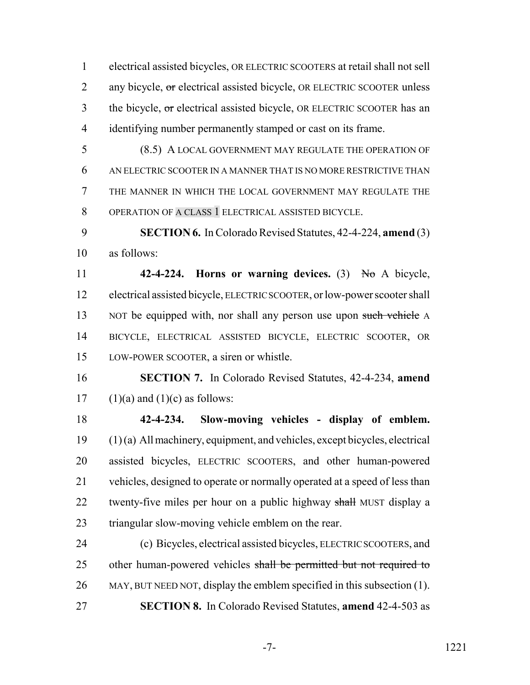electrical assisted bicycles, OR ELECTRIC SCOOTERS at retail shall not sell 2 any bicycle, or electrical assisted bicycle, OR ELECTRIC SCOOTER unless 3 the bicycle, or electrical assisted bicycle, OR ELECTRIC SCOOTER has an identifying number permanently stamped or cast on its frame.

 (8.5) A LOCAL GOVERNMENT MAY REGULATE THE OPERATION OF AN ELECTRIC SCOOTER IN A MANNER THAT IS NO MORE RESTRICTIVE THAN THE MANNER IN WHICH THE LOCAL GOVERNMENT MAY REGULATE THE OPERATION OF A CLASS 1 ELECTRICAL ASSISTED BICYCLE.

 **SECTION 6.** In Colorado Revised Statutes, 42-4-224, **amend** (3) as follows:

 **42-4-224. Horns or warning devices.** (3) No A bicycle, electrical assisted bicycle, ELECTRIC SCOOTER, or low-power scooter shall 13 NOT be equipped with, nor shall any person use upon such vehicle A BICYCLE, ELECTRICAL ASSISTED BICYCLE, ELECTRIC SCOOTER, OR LOW-POWER SCOOTER, a siren or whistle.

 **SECTION 7.** In Colorado Revised Statutes, 42-4-234, **amend** 17 (1)(a) and (1)(c) as follows:

 **42-4-234. Slow-moving vehicles - display of emblem.** (1) (a) All machinery, equipment, and vehicles, except bicycles, electrical assisted bicycles, ELECTRIC SCOOTERS, and other human-powered vehicles, designed to operate or normally operated at a speed of less than 22 twenty-five miles per hour on a public highway shall MUST display a triangular slow-moving vehicle emblem on the rear.

 (c) Bicycles, electrical assisted bicycles, ELECTRIC SCOOTERS, and 25 other human-powered vehicles shall be permitted but not required to MAY, BUT NEED NOT, display the emblem specified in this subsection (1). **SECTION 8.** In Colorado Revised Statutes, **amend** 42-4-503 as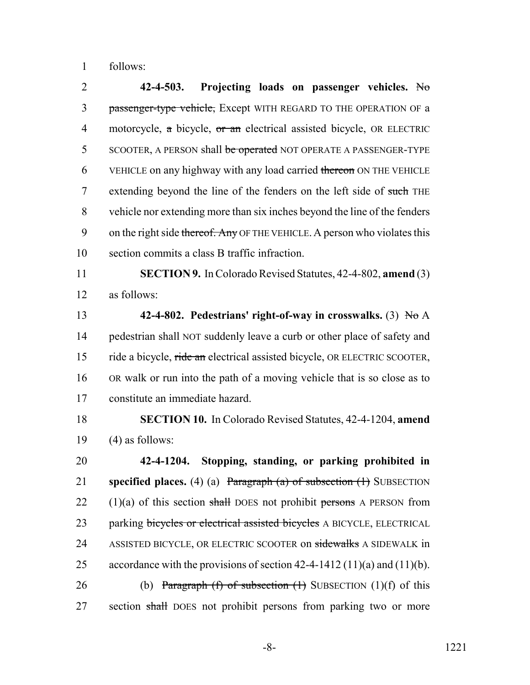1 follows:

2 **42-4-503. Projecting loads on passenger vehicles.** No 3 passenger-type vehicle, Except WITH REGARD TO THE OPERATION OF a 4 motorcycle, a bicycle, or an electrical assisted bicycle, OR ELECTRIC 5 SCOOTER, A PERSON shall be operated NOT OPERATE A PASSENGER-TYPE 6 VEHICLE on any highway with any load carried thereon ON THE VEHICLE 7 extending beyond the line of the fenders on the left side of such THE 8 vehicle nor extending more than six inches beyond the line of the fenders 9 on the right side thereof. Any OF THE VEHICLE. A person who violates this 10 section commits a class B traffic infraction.

11 **SECTION 9.** In Colorado Revised Statutes, 42-4-802, **amend** (3) 12 as follows:

 **42-4-802. Pedestrians' right-of-way in crosswalks.** (3) No A pedestrian shall NOT suddenly leave a curb or other place of safety and 15 ride a bicycle, ride an electrical assisted bicycle, OR ELECTRIC SCOOTER, OR walk or run into the path of a moving vehicle that is so close as to constitute an immediate hazard.

18 **SECTION 10.** In Colorado Revised Statutes, 42-4-1204, **amend** 19  $(4)$  as follows:

20 **42-4-1204. Stopping, standing, or parking prohibited in** 21 **specified places.** (4) (a) Paragraph (a) of subsection (1) SUBSECTION 22  $(1)(a)$  of this section shall DOES not prohibit persons A PERSON from 23 parking bicycles or electrical assisted bicycles A BICYCLE, ELECTRICAL 24 ASSISTED BICYCLE, OR ELECTRIC SCOOTER on sidewalks A SIDEWALK in 25 accordance with the provisions of section  $42-4-1412(11)(a)$  and  $(11)(b)$ . 26 (b) Paragraph (f) of subsection  $(1)$  SUBSECTION  $(1)(f)$  of this 27 section shall DOES not prohibit persons from parking two or more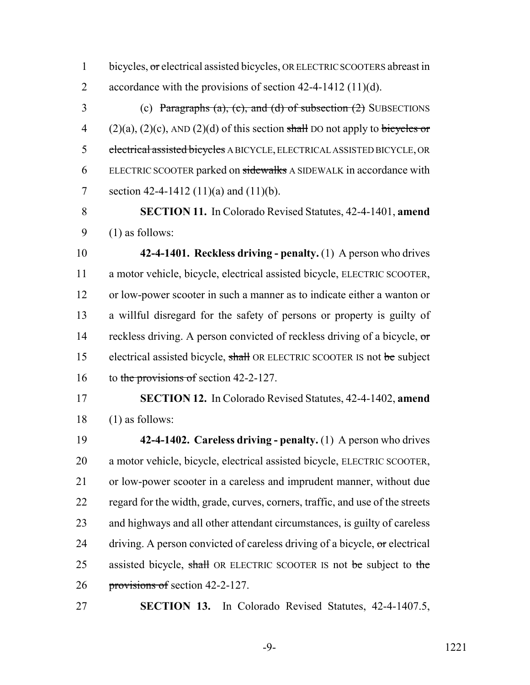1 bicycles, or electrical assisted bicycles, OR ELECTRIC SCOOTERS abreast in 2 accordance with the provisions of section 42-4-1412 (11)(d).

3 (c) Paragraphs (a), (c), and (d) of subsection  $(2)$  SUBSECTIONS 4 (2)(a), (2)(c), AND (2)(d) of this section shall DO not apply to bicycles or electrical assisted bicycles A BICYCLE, ELECTRICAL ASSISTED BICYCLE, OR ELECTRIC SCOOTER parked on sidewalks A SIDEWALK in accordance with 7 section 42-4-1412 (11)(a) and (11)(b).

 **SECTION 11.** In Colorado Revised Statutes, 42-4-1401, **amend** (1) as follows:

 **42-4-1401. Reckless driving - penalty.** (1) A person who drives a motor vehicle, bicycle, electrical assisted bicycle, ELECTRIC SCOOTER, or low-power scooter in such a manner as to indicate either a wanton or a willful disregard for the safety of persons or property is guilty of 14 reckless driving. A person convicted of reckless driving of a bicycle, or 15 electrical assisted bicycle, shall OR ELECTRIC SCOOTER IS not be subject 16 to the provisions of section 42-2-127.

 **SECTION 12.** In Colorado Revised Statutes, 42-4-1402, **amend** (1) as follows:

 **42-4-1402. Careless driving - penalty.** (1) A person who drives a motor vehicle, bicycle, electrical assisted bicycle, ELECTRIC SCOOTER, or low-power scooter in a careless and imprudent manner, without due regard for the width, grade, curves, corners, traffic, and use of the streets and highways and all other attendant circumstances, is guilty of careless 24 driving. A person convicted of careless driving of a bicycle, or electrical 25 assisted bicycle, shall OR ELECTRIC SCOOTER IS not be subject to the provisions of section 42-2-127.

**SECTION 13.** In Colorado Revised Statutes, 42-4-1407.5,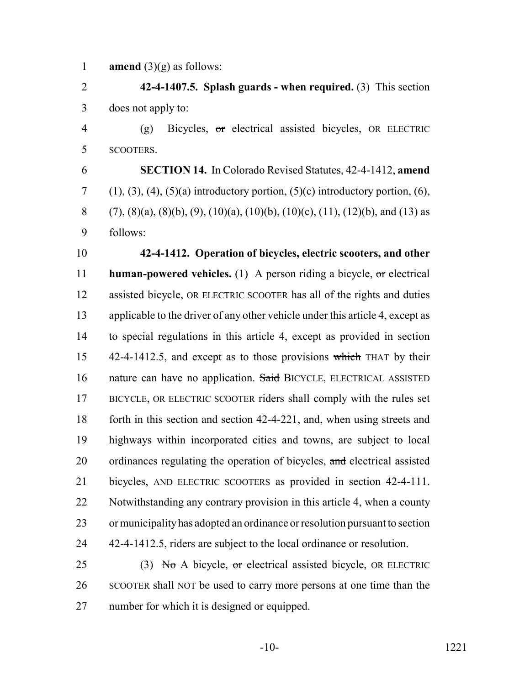**amend** (3)(g) as follows:

 **42-4-1407.5. Splash guards - when required.** (3) This section does not apply to:

 (g) Bicycles, or electrical assisted bicycles, OR ELECTRIC SCOOTERS.

 **SECTION 14.** In Colorado Revised Statutes, 42-4-1412, **amend** (1), (3), (4), (5)(a) introductory portion, (5)(c) introductory portion, (6), 8 (7), (8)(a), (8)(b), (9), (10)(a), (10)(b), (10)(c), (11), (12)(b), and (13) as follows:

 **42-4-1412. Operation of bicycles, electric scooters, and other human-powered vehicles.** (1) A person riding a bicycle, or electrical assisted bicycle, OR ELECTRIC SCOOTER has all of the rights and duties applicable to the driver of any other vehicle under this article 4, except as to special regulations in this article 4, except as provided in section 15 42-4-1412.5, and except as to those provisions which THAT by their 16 nature can have no application. Said BICYCLE, ELECTRICAL ASSISTED BICYCLE, OR ELECTRIC SCOOTER riders shall comply with the rules set forth in this section and section 42-4-221, and, when using streets and highways within incorporated cities and towns, are subject to local 20 ordinances regulating the operation of bicycles, and electrical assisted bicycles, AND ELECTRIC SCOOTERS as provided in section 42-4-111. Notwithstanding any contrary provision in this article 4, when a county or municipality has adopted an ordinance or resolution pursuant to section 42-4-1412.5, riders are subject to the local ordinance or resolution.

25 (3) No A bicycle, or electrical assisted bicycle, OR ELECTRIC SCOOTER shall NOT be used to carry more persons at one time than the number for which it is designed or equipped.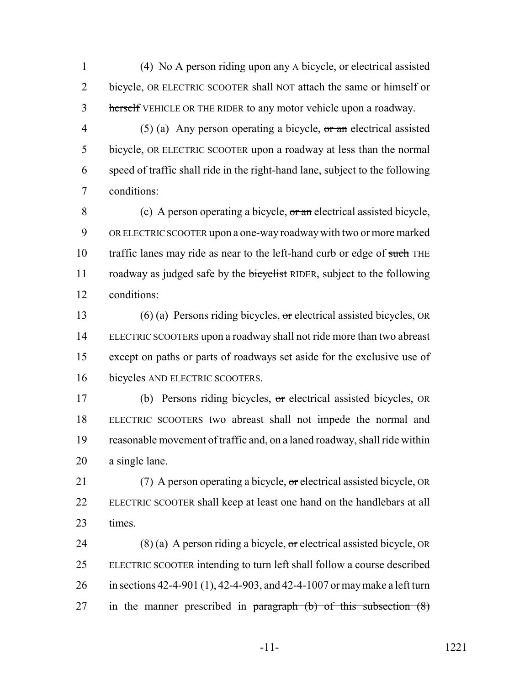1 (4) No A person riding upon  $\frac{dy}{dx}$  A bicycle, or electrical assisted 2 bicycle, OR ELECTRIC SCOOTER shall NOT attach the same or himself or 3 herself VEHICLE OR THE RIDER to any motor vehicle upon a roadway.

4 (5) (a) Any person operating a bicycle,  $\sigma r$  an electrical assisted bicycle, OR ELECTRIC SCOOTER upon a roadway at less than the normal speed of traffic shall ride in the right-hand lane, subject to the following conditions:

 (c) A person operating a bicycle, or an electrical assisted bicycle, OR ELECTRIC SCOOTER upon a one-way roadway with two or more marked 10 traffic lanes may ride as near to the left-hand curb or edge of such THE 11 roadway as judged safe by the bicyclist RIDER, subject to the following conditions:

 (6) (a) Persons riding bicycles, or electrical assisted bicycles, OR ELECTRIC SCOOTERS upon a roadway shall not ride more than two abreast except on paths or parts of roadways set aside for the exclusive use of bicycles AND ELECTRIC SCOOTERS.

 (b) Persons riding bicycles, or electrical assisted bicycles, OR ELECTRIC SCOOTERS two abreast shall not impede the normal and reasonable movement of traffic and, on a laned roadway, shall ride within a single lane.

21 (7) A person operating a bicycle, or electrical assisted bicycle, OR ELECTRIC SCOOTER shall keep at least one hand on the handlebars at all times.

24 (8) (a) A person riding a bicycle,  $\sigma$ r electrical assisted bicycle, OR ELECTRIC SCOOTER intending to turn left shall follow a course described in sections 42-4-901 (1), 42-4-903, and 42-4-1007 or may make a left turn 27 in the manner prescribed in paragraph  $(b)$  of this subsection  $(8)$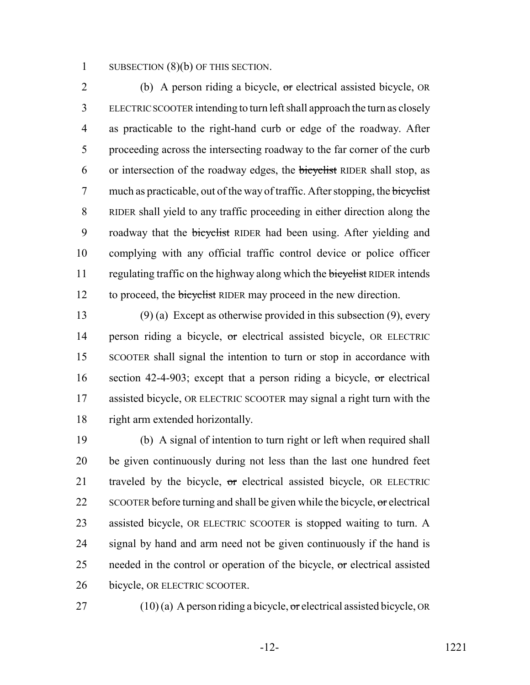1 SUBSECTION (8)(b) OF THIS SECTION.

2 (b) A person riding a bicycle, or electrical assisted bicycle, OR 3 ELECTRIC SCOOTER intending to turn left shall approach the turn as closely 4 as practicable to the right-hand curb or edge of the roadway. After 5 proceeding across the intersecting roadway to the far corner of the curb 6 or intersection of the roadway edges, the bicyclist RIDER shall stop, as 7 much as practicable, out of the way of traffic. After stopping, the bicyclist 8 RIDER shall yield to any traffic proceeding in either direction along the 9 roadway that the bicyclist RIDER had been using. After yielding and 10 complying with any official traffic control device or police officer 11 regulating traffic on the highway along which the bicyclist RIDER intends 12 to proceed, the bicyclist RIDER may proceed in the new direction.

 (9) (a) Except as otherwise provided in this subsection (9), every 14 person riding a bicycle, or electrical assisted bicycle, OR ELECTRIC SCOOTER shall signal the intention to turn or stop in accordance with 16 section 42-4-903; except that a person riding a bicycle, or electrical assisted bicycle, OR ELECTRIC SCOOTER may signal a right turn with the right arm extended horizontally.

 (b) A signal of intention to turn right or left when required shall be given continuously during not less than the last one hundred feet 21 traveled by the bicycle, or electrical assisted bicycle, OR ELECTRIC 22 SCOOTER before turning and shall be given while the bicycle,  $\sigma$  electrical assisted bicycle, OR ELECTRIC SCOOTER is stopped waiting to turn. A signal by hand and arm need not be given continuously if the hand is 25 needed in the control or operation of the bicycle,  $\sigma$  electrical assisted bicycle, OR ELECTRIC SCOOTER.

27 (10) (a) A person riding a bicycle,  $\sigma$ r electrical assisted bicycle, OR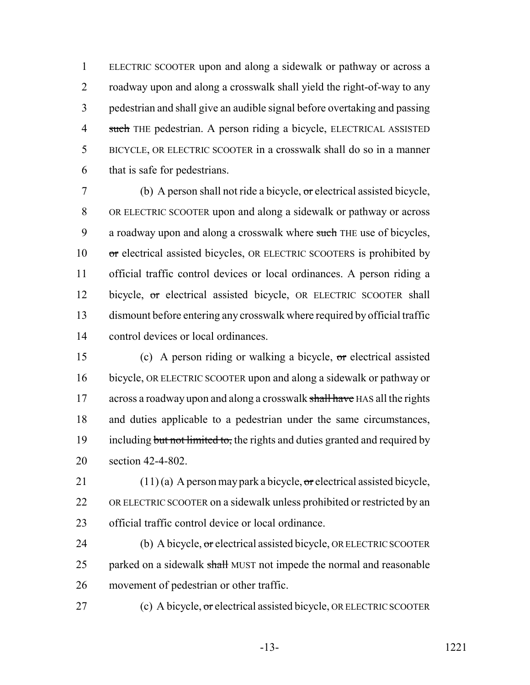ELECTRIC SCOOTER upon and along a sidewalk or pathway or across a roadway upon and along a crosswalk shall yield the right-of-way to any pedestrian and shall give an audible signal before overtaking and passing 4 such THE pedestrian. A person riding a bicycle, ELECTRICAL ASSISTED BICYCLE, OR ELECTRIC SCOOTER in a crosswalk shall do so in a manner that is safe for pedestrians.

 (b) A person shall not ride a bicycle, or electrical assisted bicycle, OR ELECTRIC SCOOTER upon and along a sidewalk or pathway or across 9 a roadway upon and along a crosswalk where such THE use of bicycles, 10 or electrical assisted bicycles, OR ELECTRIC SCOOTERS is prohibited by official traffic control devices or local ordinances. A person riding a 12 bicycle, or electrical assisted bicycle, OR ELECTRIC SCOOTER shall dismount before entering any crosswalk where required by official traffic control devices or local ordinances.

 (c) A person riding or walking a bicycle, or electrical assisted bicycle, OR ELECTRIC SCOOTER upon and along a sidewalk or pathway or 17 across a roadway upon and along a crosswalk shall have HAS all the rights and duties applicable to a pedestrian under the same circumstances, 19 including but not limited to, the rights and duties granted and required by section 42-4-802.

21 (11) (a) A person may park a bicycle,  $\sigma$ r electrical assisted bicycle, OR ELECTRIC SCOOTER on a sidewalk unless prohibited or restricted by an official traffic control device or local ordinance.

24 (b) A bicycle, or electrical assisted bicycle, OR ELECTRIC SCOOTER 25 parked on a sidewalk shall MUST not impede the normal and reasonable movement of pedestrian or other traffic.

27 (c) A bicycle, or electrical assisted bicycle, OR ELECTRIC SCOOTER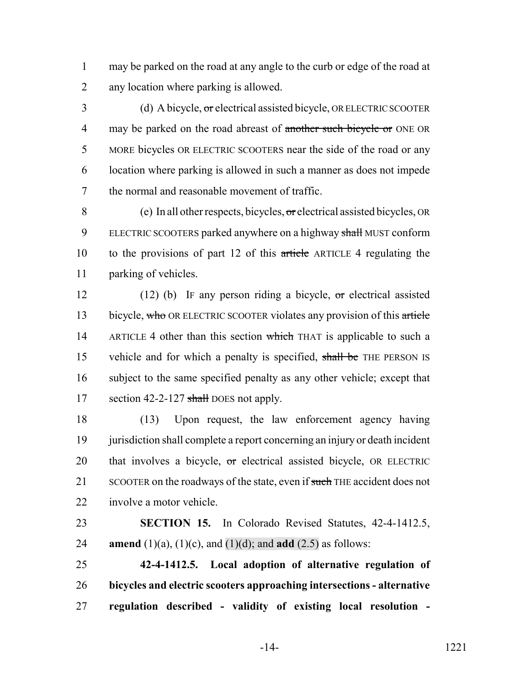1 may be parked on the road at any angle to the curb or edge of the road at 2 any location where parking is allowed.

3 (d) A bicycle, or electrical assisted bicycle, OR ELECTRIC SCOOTER 4 may be parked on the road abreast of another such bicycle or ONE OR 5 MORE bicycles OR ELECTRIC SCOOTERS near the side of the road or any 6 location where parking is allowed in such a manner as does not impede 7 the normal and reasonable movement of traffic.

8 (e) In all other respects, bicycles,  $\sigma$ relectrical assisted bicycles, OR 9 ELECTRIC SCOOTERS parked anywhere on a highway shall MUST conform 10 to the provisions of part 12 of this article ARTICLE 4 regulating the 11 parking of vehicles.

12 (12) (b) IF any person riding a bicycle, or electrical assisted 13 bicycle, who OR ELECTRIC SCOOTER violates any provision of this article 14 ARTICLE 4 other than this section which THAT is applicable to such a 15 vehicle and for which a penalty is specified, shall be THE PERSON IS 16 subject to the same specified penalty as any other vehicle; except that 17 section 42-2-127 shall DOES not apply.

18 (13) Upon request, the law enforcement agency having 19 jurisdiction shall complete a report concerning an injury or death incident 20 that involves a bicycle,  $\sigma$ r electrical assisted bicycle, OR ELECTRIC 21 SCOOTER on the roadways of the state, even if such THE accident does not 22 involve a motor vehicle.

23 **SECTION 15.** In Colorado Revised Statutes, 42-4-1412.5, **24 amend** (1)(a), (1)(c), and (1)(d); and **add** (2.5) as follows:

25 **42-4-1412.5. Local adoption of alternative regulation of** 26 **bicycles and electric scooters approaching intersections - alternative** 27 **regulation described - validity of existing local resolution -**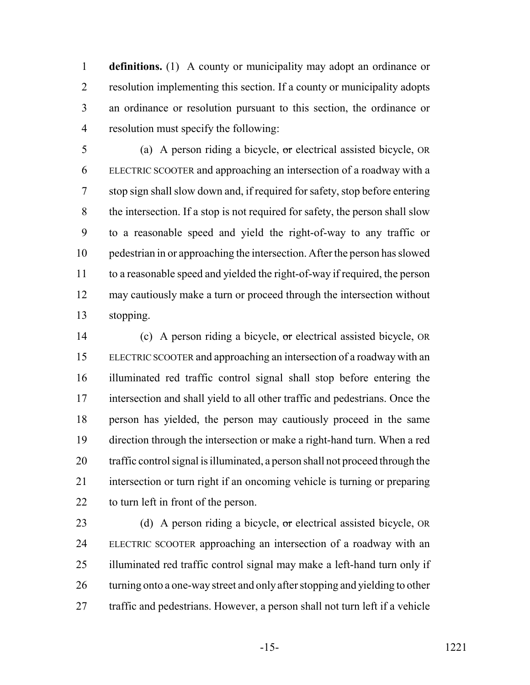**definitions.** (1) A county or municipality may adopt an ordinance or resolution implementing this section. If a county or municipality adopts an ordinance or resolution pursuant to this section, the ordinance or resolution must specify the following:

 (a) A person riding a bicycle, or electrical assisted bicycle, OR ELECTRIC SCOOTER and approaching an intersection of a roadway with a stop sign shall slow down and, if required for safety, stop before entering the intersection. If a stop is not required for safety, the person shall slow to a reasonable speed and yield the right-of-way to any traffic or pedestrian in or approaching the intersection. After the person has slowed to a reasonable speed and yielded the right-of-way if required, the person may cautiously make a turn or proceed through the intersection without stopping.

 (c) A person riding a bicycle, or electrical assisted bicycle, OR ELECTRIC SCOOTER and approaching an intersection of a roadway with an illuminated red traffic control signal shall stop before entering the intersection and shall yield to all other traffic and pedestrians. Once the person has yielded, the person may cautiously proceed in the same direction through the intersection or make a right-hand turn. When a red traffic control signal is illuminated, a person shall not proceed through the intersection or turn right if an oncoming vehicle is turning or preparing to turn left in front of the person.

23 (d) A person riding a bicycle, or electrical assisted bicycle, OR ELECTRIC SCOOTER approaching an intersection of a roadway with an illuminated red traffic control signal may make a left-hand turn only if 26 turning onto a one-way street and only after stopping and yielding to other traffic and pedestrians. However, a person shall not turn left if a vehicle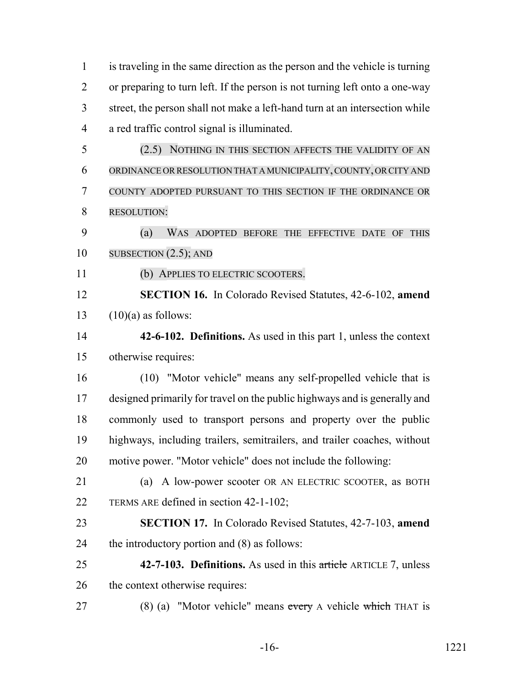is traveling in the same direction as the person and the vehicle is turning or preparing to turn left. If the person is not turning left onto a one-way street, the person shall not make a left-hand turn at an intersection while a red traffic control signal is illuminated. (2.5) NOTHING IN THIS SECTION AFFECTS THE VALIDITY OF AN ORDINANCE ORRESOLUTION THAT A MUNICIPALITY, COUNTY, OR CITY AND COUNTY ADOPTED PURSUANT TO THIS SECTION IF THE ORDINANCE OR RESOLUTION: (a) WAS ADOPTED BEFORE THE EFFECTIVE DATE OF THIS SUBSECTION (2.5); AND (b) APPLIES TO ELECTRIC SCOOTERS. **SECTION 16.** In Colorado Revised Statutes, 42-6-102, **amend**  $(10)(a)$  as follows: **42-6-102. Definitions.** As used in this part 1, unless the context otherwise requires: (10) "Motor vehicle" means any self-propelled vehicle that is designed primarily for travel on the public highways and is generally and commonly used to transport persons and property over the public highways, including trailers, semitrailers, and trailer coaches, without motive power. "Motor vehicle" does not include the following: (a) A low-power scooter OR AN ELECTRIC SCOOTER, as BOTH TERMS ARE defined in section 42-1-102; **SECTION 17.** In Colorado Revised Statutes, 42-7-103, **amend** the introductory portion and (8) as follows: **42-7-103. Definitions.** As used in this article ARTICLE 7, unless the context otherwise requires: 27 (8) (a) "Motor vehicle" means every A vehicle which THAT is